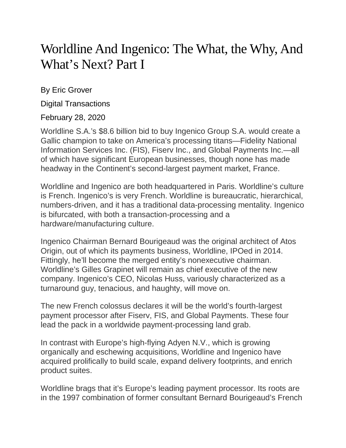## Worldline And Ingenico: The What, the Why, And What's Next? Part I

By Eric Grover

Digital Transactions

## February 28, 2020

Worldline S.A.'s \$8.6 billion bid to buy Ingenico Group S.A. would create a Gallic champion to take on America's processing titans—Fidelity National Information Services Inc. (FIS), Fiserv Inc., and Global Payments Inc.—all of which have significant European businesses, though none has made headway in the Continent's second-largest payment market, France.

Worldline and Ingenico are both headquartered in Paris. Worldline's culture is French. Ingenico's is very French. Worldline is bureaucratic, hierarchical, numbers-driven, and it has a traditional data-processing mentality. Ingenico is bifurcated, with both a transaction-processing and a hardware/manufacturing culture.

Ingenico Chairman Bernard Bourigeaud was the original architect of Atos Origin, out of which its payments business, Worldline, IPOed in 2014. Fittingly, he'll become the merged entity's nonexecutive chairman. Worldline's Gilles Grapinet will remain as chief executive of the new company. Ingenico's CEO, Nicolas Huss, variously characterized as a turnaround guy, tenacious, and haughty, will move on.

The new French colossus declares it will be the world's fourth-largest payment processor after Fiserv, FIS, and Global Payments. These four lead the pack in a worldwide payment-processing land grab.

In contrast with Europe's high-flying Adyen N.V., which is growing organically and eschewing acquisitions, Worldline and Ingenico have acquired prolifically to build scale, expand delivery footprints, and enrich product suites.

Worldline brags that it's Europe's leading payment processor. Its roots are in the 1997 combination of former consultant Bernard Bourigeaud's French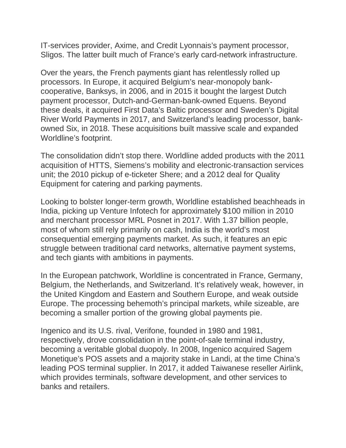IT-services provider, Axime, and Credit Lyonnais's payment processor, Sligos. The latter built much of France's early card-network infrastructure.

Over the years, the French payments giant has relentlessly rolled up processors. In Europe, it acquired Belgium's near-monopoly bankcooperative, Banksys, in 2006, and in 2015 it bought the largest Dutch payment processor, Dutch-and-German-bank-owned Equens. Beyond these deals, it acquired First Data's Baltic processor and Sweden's Digital River World Payments in 2017, and Switzerland's leading processor, bankowned Six, in 2018. These acquisitions built massive scale and expanded Worldline's footprint.

The consolidation didn't stop there. Worldline added products with the 2011 acquisition of HTTS, Siemens's mobility and electronic-transaction services unit; the 2010 pickup of e-ticketer Shere; and a 2012 deal for Quality Equipment for catering and parking payments.

Looking to bolster longer-term growth, Worldline established beachheads in India, picking up Venture Infotech for approximately \$100 million in 2010 and merchant processor MRL Posnet in 2017. With 1.37 billion people, most of whom still rely primarily on cash, India is the world's most consequential emerging payments market. As such, it features an epic struggle between traditional card networks, alternative payment systems, and tech giants with ambitions in payments.

In the European patchwork, Worldline is concentrated in France, Germany, Belgium, the Netherlands, and Switzerland. It's relatively weak, however, in the United Kingdom and Eastern and Southern Europe, and weak outside Europe. The processing behemoth's principal markets, while sizeable, are becoming a smaller portion of the growing global payments pie.

Ingenico and its U.S. rival, Verifone, founded in 1980 and 1981, respectively, drove consolidation in the point-of-sale terminal industry, becoming a veritable global duopoly. In 2008, Ingenico acquired Sagem Monetique's POS assets and a majority stake in Landi, at the time China's leading POS terminal supplier. In 2017, it added Taiwanese reseller Airlink, which provides terminals, software development, and other services to banks and retailers.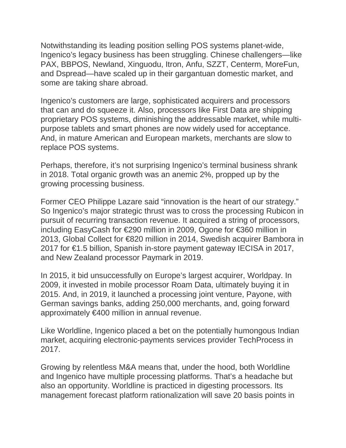Notwithstanding its leading position selling POS systems planet-wide, Ingenico's legacy business has been struggling. Chinese challengers—like PAX, BBPOS, Newland, Xinguodu, Itron, Anfu, SZZT, Centerm, MoreFun, and Dspread—have scaled up in their gargantuan domestic market, and some are taking share abroad.

Ingenico's customers are large, sophisticated acquirers and processors that can and do squeeze it. Also, processors like First Data are shipping proprietary POS systems, diminishing the addressable market, while multipurpose tablets and smart phones are now widely used for acceptance. And, in mature American and European markets, merchants are slow to replace POS systems.

Perhaps, therefore, it's not surprising Ingenico's terminal business shrank in 2018. Total organic growth was an anemic 2%, propped up by the growing processing business.

Former CEO Philippe Lazare said "innovation is the heart of our strategy." So Ingenico's major strategic thrust was to cross the processing Rubicon in pursuit of recurring transaction revenue. It acquired a string of processors, including EasyCash for €290 million in 2009, Ogone for €360 million in 2013, Global Collect for €820 million in 2014, Swedish acquirer Bambora in 2017 for €1.5 billion, Spanish in-store payment gateway IECISA in 2017, and New Zealand processor Paymark in 2019.

In 2015, it bid unsuccessfully on Europe's largest acquirer, Worldpay. In 2009, it invested in mobile processor Roam Data, ultimately buying it in 2015. And, in 2019, it launched a processing joint venture, Payone, with German savings banks, adding 250,000 merchants, and, going forward approximately €400 million in annual revenue.

Like Worldline, Ingenico placed a bet on the potentially humongous Indian market, acquiring electronic-payments services provider TechProcess in 2017.

Growing by relentless M&A means that, under the hood, both Worldline and Ingenico have multiple processing platforms. That's a headache but also an opportunity. Worldline is practiced in digesting processors. Its management forecast platform rationalization will save 20 basis points in